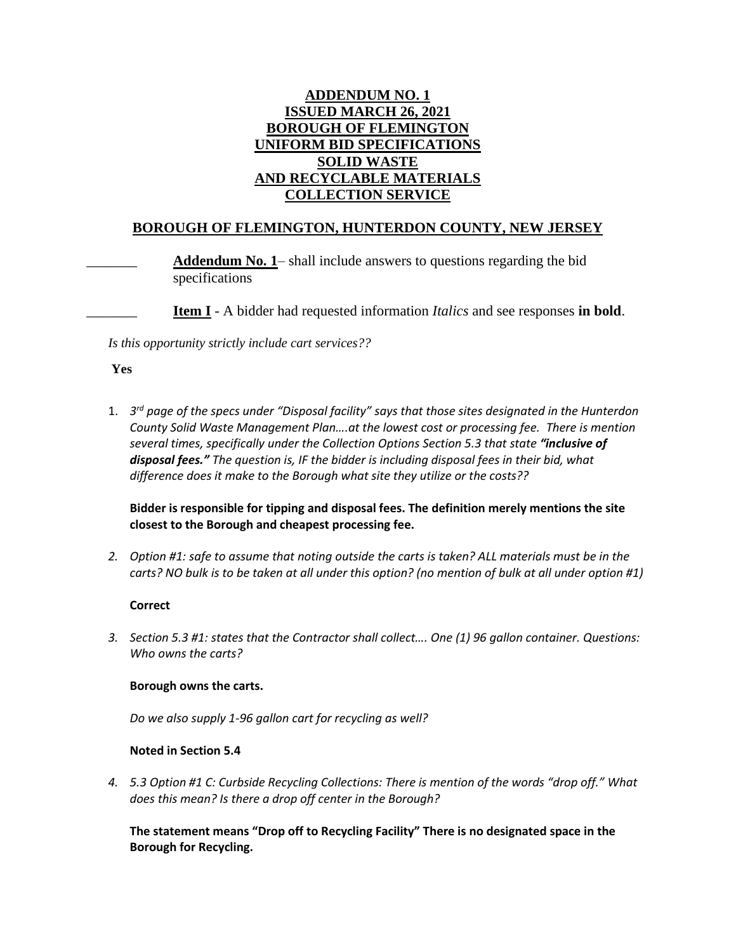# **ADDENDUM NO. 1 ISSUED MARCH 26, 2021 BOROUGH OF FLEMINGTON UNIFORM BID SPECIFICATIONS SOLID WASTE AND RECYCLABLE MATERIALS COLLECTION SERVICE**

# **BOROUGH OF FLEMINGTON, HUNTERDON COUNTY, NEW JERSEY**

Addendum No. 1– shall include answers to questions regarding the bid specifications

\_\_\_\_\_\_\_ **Item I** - A bidder had requested information *Italics* and see responses **in bold**.

*Is this opportunity strictly include cart services??*

#### **Yes**

1. *3 rd page of the specs under "Disposal facility" says that those sites designated in the Hunterdon County Solid Waste Management Plan….at the lowest cost or processing fee. There is mention several times, specifically under the Collection Options Section 5.3 that state "inclusive of disposal fees." The question is, IF the bidder is including disposal fees in their bid, what difference does it make to the Borough what site they utilize or the costs??*

**Bidder is responsible for tipping and disposal fees. The definition merely mentions the site closest to the Borough and cheapest processing fee.**

*2. Option #1: safe to assume that noting outside the carts is taken? ALL materials must be in the carts? NO bulk is to be taken at all under this option? (no mention of bulk at all under option #1)*

### **Correct**

*3. Section 5.3 #1: states that the Contractor shall collect…. One (1) 96 gallon container. Questions: Who owns the carts?*

### **Borough owns the carts.**

*Do we also supply 1-96 gallon cart for recycling as well?*

### **Noted in Section 5.4**

*4. 5.3 Option #1 C: Curbside Recycling Collections: There is mention of the words "drop off." What does this mean? Is there a drop off center in the Borough?*

**The statement means "Drop off to Recycling Facility" There is no designated space in the Borough for Recycling.**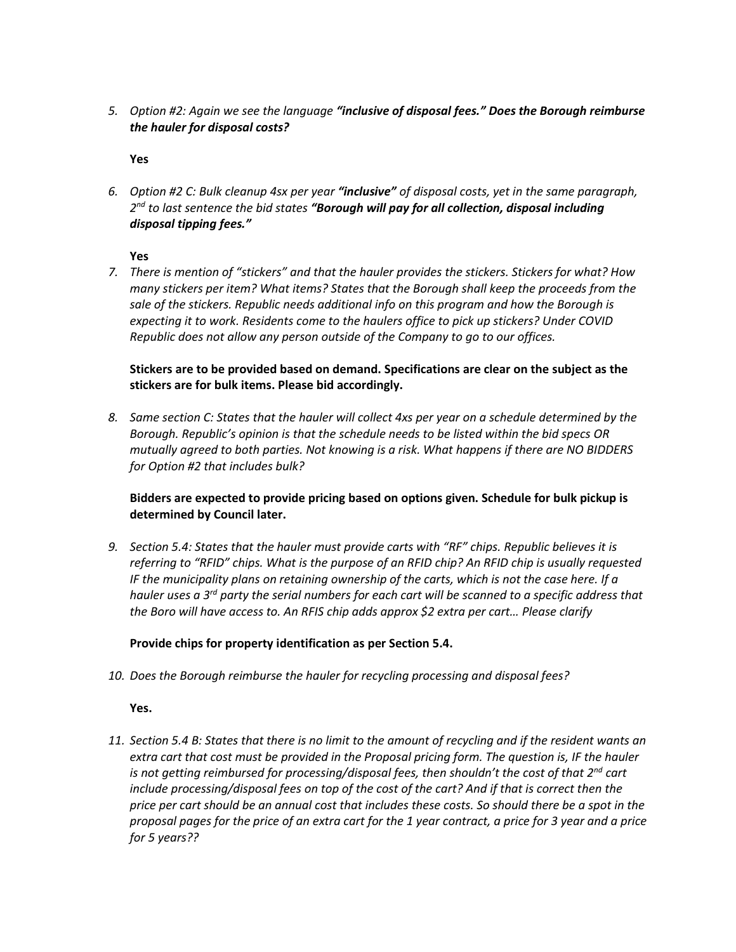*5. Option #2: Again we see the language "inclusive of disposal fees." Does the Borough reimburse the hauler for disposal costs?* 

**Yes**

*6. Option #2 C: Bulk cleanup 4sx per year "inclusive" of disposal costs, yet in the same paragraph, 2 nd to last sentence the bid states "Borough will pay for all collection, disposal including disposal tipping fees."* 

**Yes**

*7. There is mention of "stickers" and that the hauler provides the stickers. Stickers for what? How many stickers per item? What items? States that the Borough shall keep the proceeds from the sale of the stickers. Republic needs additional info on this program and how the Borough is expecting it to work. Residents come to the haulers office to pick up stickers? Under COVID Republic does not allow any person outside of the Company to go to our offices.*

### **Stickers are to be provided based on demand. Specifications are clear on the subject as the stickers are for bulk items. Please bid accordingly.**

*8. Same section C: States that the hauler will collect 4xs per year on a schedule determined by the Borough. Republic's opinion is that the schedule needs to be listed within the bid specs OR mutually agreed to both parties. Not knowing is a risk. What happens if there are NO BIDDERS for Option #2 that includes bulk?*

## **Bidders are expected to provide pricing based on options given. Schedule for bulk pickup is determined by Council later.**

*9. Section 5.4: States that the hauler must provide carts with "RF" chips. Republic believes it is referring to "RFID" chips. What is the purpose of an RFID chip? An RFID chip is usually requested IF the municipality plans on retaining ownership of the carts, which is not the case here. If a hauler uses a 3rd party the serial numbers for each cart will be scanned to a specific address that the Boro will have access to. An RFIS chip adds approx \$2 extra per cart… Please clarify*

## **Provide chips for property identification as per Section 5.4.**

*10. Does the Borough reimburse the hauler for recycling processing and disposal fees?*

**Yes.**

*11. Section 5.4 B: States that there is no limit to the amount of recycling and if the resident wants an extra cart that cost must be provided in the Proposal pricing form. The question is, IF the hauler is not getting reimbursed for processing/disposal fees, then shouldn't the cost of that 2nd cart include processing/disposal fees on top of the cost of the cart? And if that is correct then the price per cart should be an annual cost that includes these costs. So should there be a spot in the proposal pages for the price of an extra cart for the 1 year contract, a price for 3 year and a price for 5 years??*